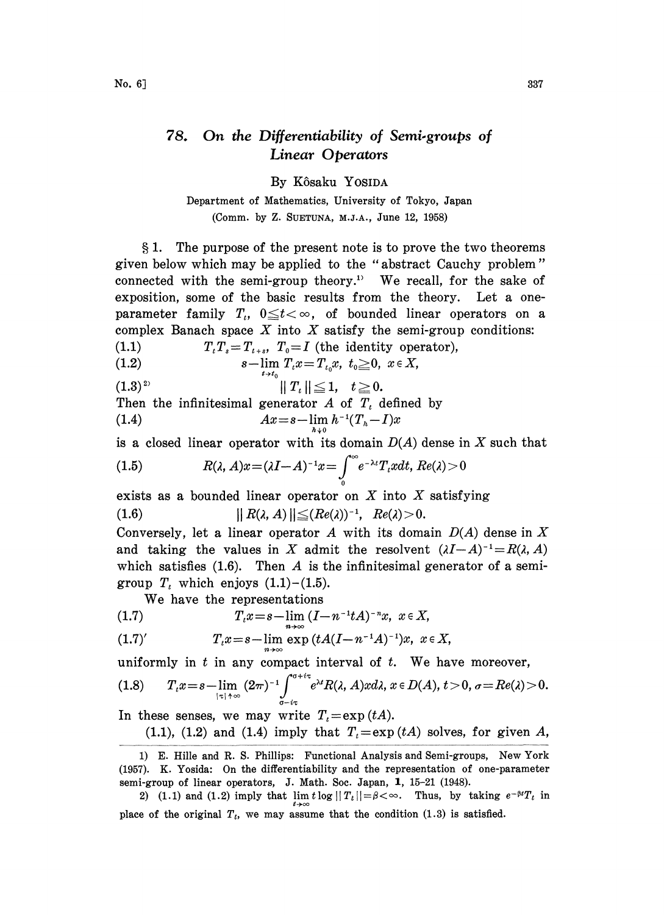## 78. On the Differentiability of Semi.groups of Linear Operators

By Kôsaku YOSIDA

Department of Mathematics, University of Tokyo, Japan (Comm. by Z. SUETUNA, M.J.A., June 12, 1958)

1. The purpose of the present note is to prove the two theorems given below which may be applied to the "abstract Cauchy problem" connected with the semi-group theory.<sup>1</sup> We recall, for the sake of exposition, some of the basic results from the theory. Let a oneparameter family  $T_t$ ,  $0 \le t < \infty$ , of bounded linear operators on a complex Banach space  $X$  into  $X$  satisfy the semi-group conditions:

$$
(1.1) \tT_t T_s = T_{t+s}, \tT_0 = I \t{the identity operator},
$$

$$
\text{(1.2)} \quad s-\lim_{t\to t^-} T_t x = T_{t_0} x, \,\, t_0 \geq 0, \,\, x\in X,
$$

(1.3)<sup>2)</sup>  $\|T_t\| \leq 1, \quad t \geq 0.$ 

Then the infinitesimal generator  $A$  of  $T<sub>t</sub>$  defined by (1.4)  $Ax = s - \lim_{h \to 0} h^{-1}(T_h - I)x$ 

is a closed linear operator with its domain  $D(A)$  dense in X such that

(1.5) 
$$
R(\lambda, A)x = (\lambda I - A)^{-1}x = \int_{0}^{\infty} e^{-\lambda t} T_{t}x dt, Re(\lambda) > 0
$$

exists as a bounded linear operator on  $X$  into  $X$  satisfying

(1.6) iii  $\left| R(\lambda, A) \right| \leq (Re(\lambda))^{-1}, Re(\lambda) > 0.$ 

Conversely, let a linear operator A with its domain  $D(A)$  dense in X and taking the values in X admit the resolvent  $(\lambda I-A)^{-1}=R(\lambda, A)$ which satisfies  $(1.6)$ . Then A is the infinitesimal generator of a semigroup  $T_t$  which enjoys  $(1.1)$ - $(1.5)$ .

We have the representations

(1.7) 
$$
T_{t}x = s - \lim (I - n^{-1}tA)^{-n}x, \ x \in X,
$$

(1.7)' 
$$
T_{t}x = s - \lim_{n \to \infty} \exp(tA(I - n^{-1}A)^{-1})x, \ x \in X,
$$

uniformly in  $t$  in any compact interval of  $t$ . We have moreover,

$$
(1.8) \qquad T_{\iota}x=s-\lim_{|\tau|\to\infty}(2\pi)^{-1}\int_{\sigma-i\tau}^{\sigma+i\tau}e^{\lambda t}R(\lambda,A)xd\lambda,\,x\in D(A),\,t>0,\,\sigma=Re(\lambda)>0.
$$

In these senses, we may write  $T<sub>t</sub>=\exp(tA)$ .

(1.1), (1.2) and (1.4) imply that  $T<sub>t</sub>=\exp(tA)$  solves, for given A,

<sup>1)</sup> E. Hille and R. S. Phillips: Functional Analysis and Semi-groups, New York (1957). K. Yosida: On the differentiability and the representation of one-parameter semi-group of linear operators, J. Math. Soc. Japan, 1, 15-21 (1948).

<sup>2) (1.1)</sup> and (1.2) imply that  $\lim t \log ||T_t|| = \beta < \infty$ . Thus, by taking  $e^{-\beta t}T_t$  in place of the original  $T_t$ , we may assume that the condition  $(1.3)$  is satisfied.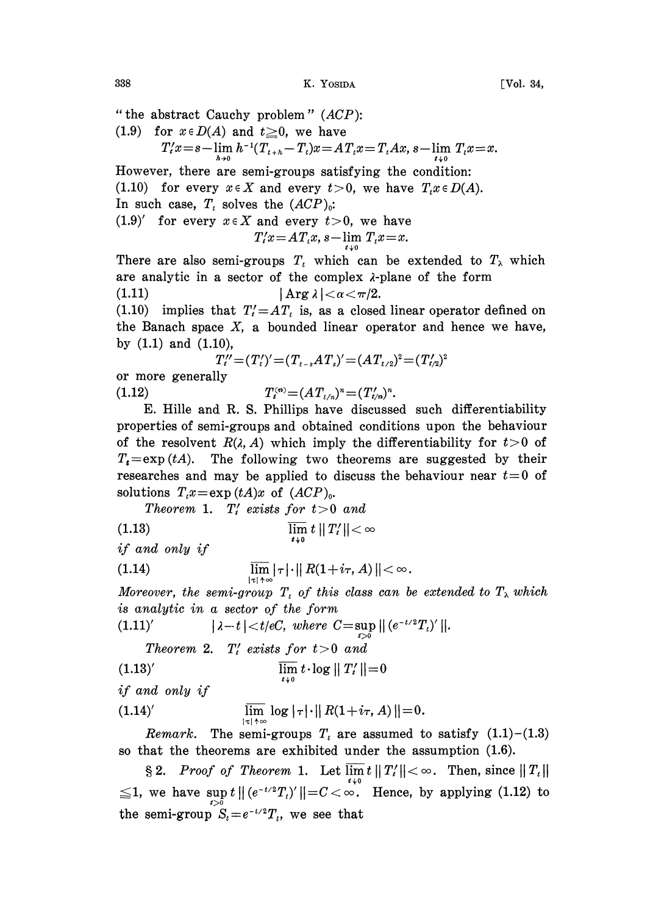338 K. YOSIDA [Vol. 34,

" the abstract Cauchy problem"  $(ACP)$ :

(1.9) for  $x \in D(A)$  and  $t \ge 0$ , we have

$$
T'_{t}x = s - \lim_{h \to 0} h^{-1}(T_{t+h} - T_{t})x = AT_{t}x = T_{t}Ax, s - \lim_{t \to 0} T_{t}x = x.
$$

However, there are semi-groups satisfying the condition: (1.10) for every  $x \in X$  and every  $t > 0$ , we have  $T_t x \in D(A)$ . In such case,  $T_t$  solves the  $(ACP)_0$ :  $(1.9)'$  for every  $x \in X$  and every  $t > 0$ , we have

$$
T'_t x = A T_t x, s - \lim_{t \downarrow 0} T_t x = x.
$$

There are also semi-groups  $T_t$  which can be extended to  $T_\lambda$  which are analytic in a sector of the complex  $\lambda$ -plane of the form (1.11)  $|\arg \lambda| < \alpha < \pi/2$ .

(1.10) implies that  $T_i' = AT_i$  is, as a closed linear operator defined on the Banach space  $X$ , a bounded linear operator and hence we have, by  $(1.1)$  and  $(1.10)$ ,

$$
T_t'' = (T_t')' = (T_{t-s}AT_s)' = (AT_{t/2})^2 = (T_{t/2}')^2
$$

or more generally (1.12)  $T_t^{(n)} = (AT_{t/n})^n = (T_{t/n}')^n$ .

E. Hille and R. S. Phillips have discussed such differentiability properties of semi-groups and obtained conditions upon the behaviour of the resolvent  $R(\lambda, A)$  which imply the differentiability for  $t>0$  of  $T_t = \exp(tA)$ . The following two theorems are suggested by their researches and may be applied to discuss the behaviour near  $t=0$  of solutions  $T_t x = \exp(tA)x$  of  $(ACP)_0$ .

Theorem 1.  $T_i$  exists for  $t > 0$  and

(1.13) 
$$
\overline{\lim_{t \to 0}} t ||T'_t|| < \infty
$$
 if and only if

$$
\lim_{|\tau|+\infty} |\tau| \cdot ||R(1+i\tau,A)|| < \infty.
$$

Moreover, the semi-group  $T_t$  of this class can be extended to  $T_{\lambda}$  which is analytic in a sector of the form

(1.11)' 
$$
|\lambda - t| < t/eC
$$
, where  $C = \sup_{t>0} ||(e^{-t/2}T_t)'||$ .

Theorem 2.  $T_i$  exists for  $t>0$  and

$$
\lim_{t \to 0} t \cdot \log ||T'_t|| = 0
$$

if and only if

(1.14)' 
$$
\lim_{|\tau| \to \infty} \log |\tau| \cdot ||R(1+i\tau,A)|| = 0.
$$

*Remark.* The semi-groups  $T<sub>t</sub>$  are assumed to satisfy  $(1.1)$ - $(1.3)$ so that the theorems are exhibited under the assumption (1.6).

2. Proof of Theorem 1. Let  $\lim t$  ||  $\leq 1$ , we have sup  $t \mid (e^{-t/2}T_t)' \mid_t = C \leq \infty$ . Hence, by applying (1.12) to the semi-group  $S_t=e^{-t/2}T_t$ , we see that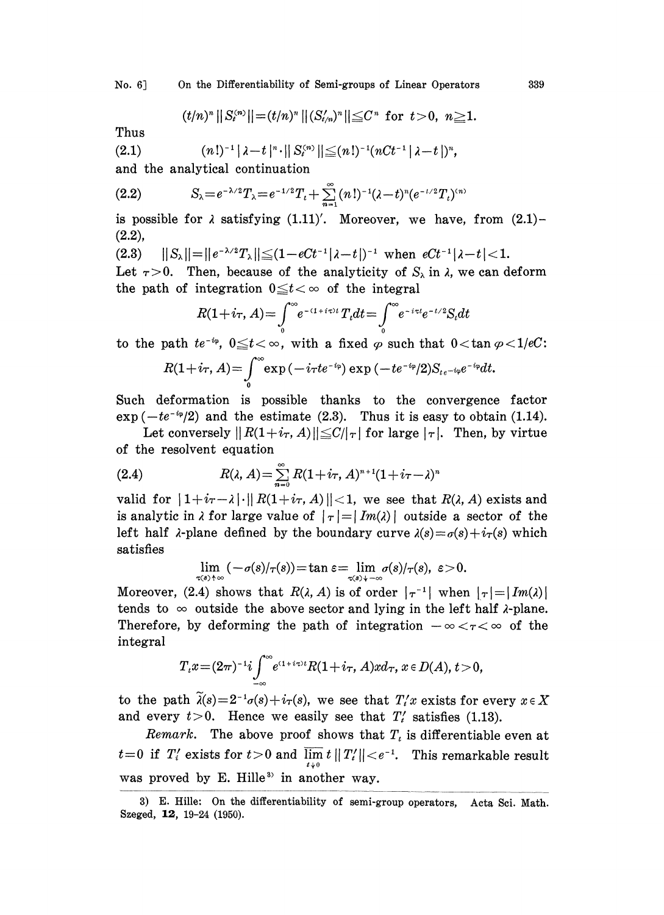No. 6] On the Differentiability of Semi-groups of Linear Operators 339

$$
(t/n)^{n}||S_{t}^{(n)}|| = (t/n)^{n}||(S_{t/n}')^{n}|| \leq C^{n} \text{ for } t > 0, n \geq 1.
$$

Thus

(2.1) 
$$
(n!)^{-1} |\lambda - t|^{n} \cdot ||S_{t}^{(n)}|| \leq (n!)^{-1} (nCt^{-1} |\lambda - t|)^{n},
$$

and the analytical continuation

(2.2) 
$$
S_{\lambda} = e^{-\lambda/2} T_{\lambda} = e^{-1/2} T_{t} + \sum_{n=1}^{\infty} (n!)^{-1} (\lambda - t)^{n} (e^{-t/2} T_{t})^{(n)}
$$

is possible for  $\lambda$  satisfying (1.11)'. Moreover, we have, from (2.1)-(2.2),

$$
(2.3) \qquad ||S_{\lambda}|| = ||e^{-\lambda/2}T_{\lambda}|| \leq (1 - eCt^{-1}|\lambda - t|)^{-1} \text{ when } eCt^{-1}|\lambda - t| < 1.
$$

(2.3)  $||S_{\lambda}|| = ||e^{-\lambda/2}T_{\lambda}|| \leq (1 - eCt^{-1}|\lambda - t|)^{-1}$  when  $eCt^{-1}|\lambda - t| < 1$ .<br>Let  $\tau > 0$ . Then, because of the analyticity of  $S_{\lambda}$  in  $\lambda$ , we can deform the path of integration  $0 \le t < \infty$  of the integral

$$
R(1+i\tau, A) = \int_{0}^{\infty} e^{-(1+i\tau)t} T_t dt = \int_{0}^{\infty} e^{-i\tau t} e^{-t/2} S_t dt
$$

to the path  $te^{-i\varphi}$ ,  $0 \le t < \infty$ , with a fixed  $\varphi$  such that  $0 < \tan \varphi < 1/eC$ :

$$
R(1+i\tau, A) = \int_{0}^{\infty} \exp\left(-i\tau t e^{-i\varphi}\right) \exp\left(-t e^{-i\varphi}/2\right) S_{t e^{-i\varphi}} e^{-i\varphi} dt.
$$

Such deformation is possible thanks to the convergence factor  $\exp(-te^{-i\varphi}/2)$  and the estimate (2.3). Thus it is easy to obtain (1.14).

Let conversely  $||R(1+i<sub>\tau</sub>, A)|| \leq C/|\tau|$  for large  $|\tau|$ . Then, by virtue of the resolvent equation

(2.4) 
$$
R(\lambda, A) = \sum_{n=0}^{\infty} R(1 + i\tau, A)^{n+1} (1 + i\tau - \lambda)^n
$$

valid for  $|1+i\tau-\lambda| \cdot ||R(1+i\tau, A)|| < 1$ , we see that  $R(\lambda, A)$  exists and is analytic in  $\lambda$  for large value of  $|\tau|=|Im(\lambda)|$  outside a sector of the left half  $\lambda$ -plane defined by the boundary curve  $\lambda(s) = \sigma(s) + i_\tau(s)$  which satisfies

$$
\lim_{\tau(s)\to\infty}(-\sigma(s)/\tau(s))=\tan \varepsilon=\lim_{\tau(s)\to-\infty}\sigma(s)/\tau(s),\ \varepsilon>0.
$$

Moreover, (2.4) shows that  $R(\lambda, A)$  is of order  $|\tau^{-1}|$  when  $|\tau|=|Im(\lambda)|$ tends to  $\infty$  outside the above sector and lying in the left half  $\lambda$ -plane. Therefore, by deforming the path of integration  $-\infty < \tau < \infty$  of the integral integral

$$
T_{t}x=(2\pi)^{-1}i\int_{-\infty}^{\infty}e^{(1+i\tau)t}R(1+i\tau,A)xd\tau, x\in D(A), t>0,
$$

to the path  $\tilde{\lambda}(s) = 2^{-1}\sigma(s) + i\tau(s)$ , we see that  $T_i'x$  exists for every  $x \in X$ and every  $t>0$ . Hence we easily see that  $T'_t$  satisfies (1.13).

Remark. The above proof shows that  $T<sub>t</sub>$  is differentiable even at  $t=0$  if  $T_i'$  exists for  $t>0$  and  $\overline{\lim} t ||T_i'|| < e^{-1}$ . This remarkable result was proved by E. Hille<sup>3</sup> in another way.

<sup>3)</sup> E. Hille: On the differentiability of semi-group operators, Acta Sci. Math. Szeged, 12, 19-24 (1950).